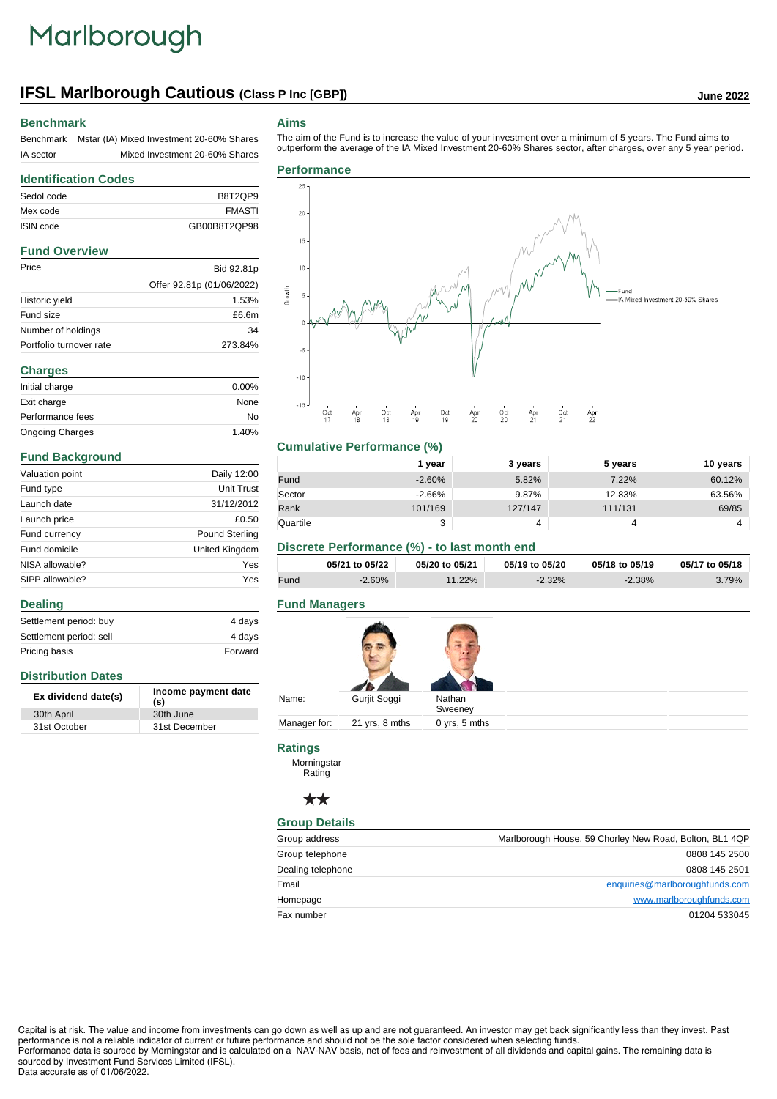## Marlborough

## **IFSL Marlborough Cautious (Class P Inc [GBP]) June 2022**

#### **Benchmark**

| <b>Benchmark</b> | Mstar (IA) Mixed Investment 20-60% Shares |
|------------------|-------------------------------------------|
| IA sector        | Mixed Investment 20-60% Shares            |

#### **Aims**

The aim of the Fund is to increase the value of your investment over a minimum of 5 years. The Fund aims to outperform the average of the IA Mixed Investment 20-60% Shares sector, after charges, over any 5 year period.

## **Identification Codes** Sedol code B8T2QP9 Mex code FMASTI ISIN code GB00B8T2QP98

### **Fund Overview**

| Price                   | Bid 92.81p                |
|-------------------------|---------------------------|
|                         | Offer 92.81p (01/06/2022) |
| Historic yield          | 1.53%                     |
| Fund size               | £6.6m                     |
| Number of holdings      | 34                        |
| Portfolio turnover rate | 273.84%                   |

| <b>Charges</b>         |          |
|------------------------|----------|
| Initial charge         | $0.00\%$ |
| Exit charge            | None     |
| Performance fees       | No       |
| <b>Ongoing Charges</b> | 1.40%    |

#### **Fund Background**

**Distribution Dates**

**Dealing**

| Valuation point | Daily 12:00    |
|-----------------|----------------|
| Fund type       | Unit Trust     |
| Launch date     | 31/12/2012     |
| Launch price    | £0.50          |
| Fund currency   | Pound Sterling |
| Fund domicile   | United Kingdom |
| NISA allowable? | Yes            |
| SIPP allowable? | Yes            |

Settlement period: buy 4 days Settlement period: sell 4 days Pricing basis **Forward** 

**Ex dividend date(s) Income payment date (s)**

30th April 30th June 31st October 31st December



#### **Cumulative Performance (%)**

|          | 1 year   | 3 years | 5 years | 10 years |
|----------|----------|---------|---------|----------|
| Fund     | $-2.60%$ | 5.82%   | 7.22%   | 60.12%   |
| Sector   | $-2.66%$ | 9.87%   | 12.83%  | 63.56%   |
| Rank     | 101/169  | 127/147 | 111/131 | 69/85    |
| Quartile | ٠J       | 4       | 4       |          |

#### **Discrete Performance (%) - to last month end**

|      | 05/21 to 05/22 | 05/20 to 05/21 | 05/19 to 05/20 | 05/18 to 05/19 | 05/17 to 05/18 |
|------|----------------|----------------|----------------|----------------|----------------|
| Fund | $-2.60%$       | $11.22\%$      | $-2.32%$       | $-2.38%$       | $3.79\%$       |

#### **Fund Managers**

| Gurjit Soggi<br>Nathan<br>Sweeney | Name:        |
|-----------------------------------|--------------|
| 0 yrs, 5 mths<br>21 yrs, 8 mths   | Manager for: |

#### **Ratings**

**Morningstar** Rating

#### $\star\star$

#### **Group Details**

| Group address     | Marlborough House, 59 Chorley New Road, Bolton, BL1 4QP |
|-------------------|---------------------------------------------------------|
| Group telephone   | 0808 145 2500                                           |
| Dealing telephone | 0808 145 2501                                           |
| Email             | enquiries@marlboroughfunds.com                          |
| Homepage          | www.marlboroughfunds.com                                |
| Fax number        | 01204 533045                                            |

Capital is at risk. The value and income from investments can go down as well as up and are not guaranteed. An investor may get back significantly less than they invest. Past performance is not a reliable indicator of current or future performance and should not be the sole factor considered when selecting funds. Performance data is sourced by Morningstar and is calculated on a NAV-NAV basis, net of fees and reinvestment of all dividends and capital gains. The remaining data is

sourced by Investment Fund Services Limited (IFSL). Data accurate as of 01/06/2022.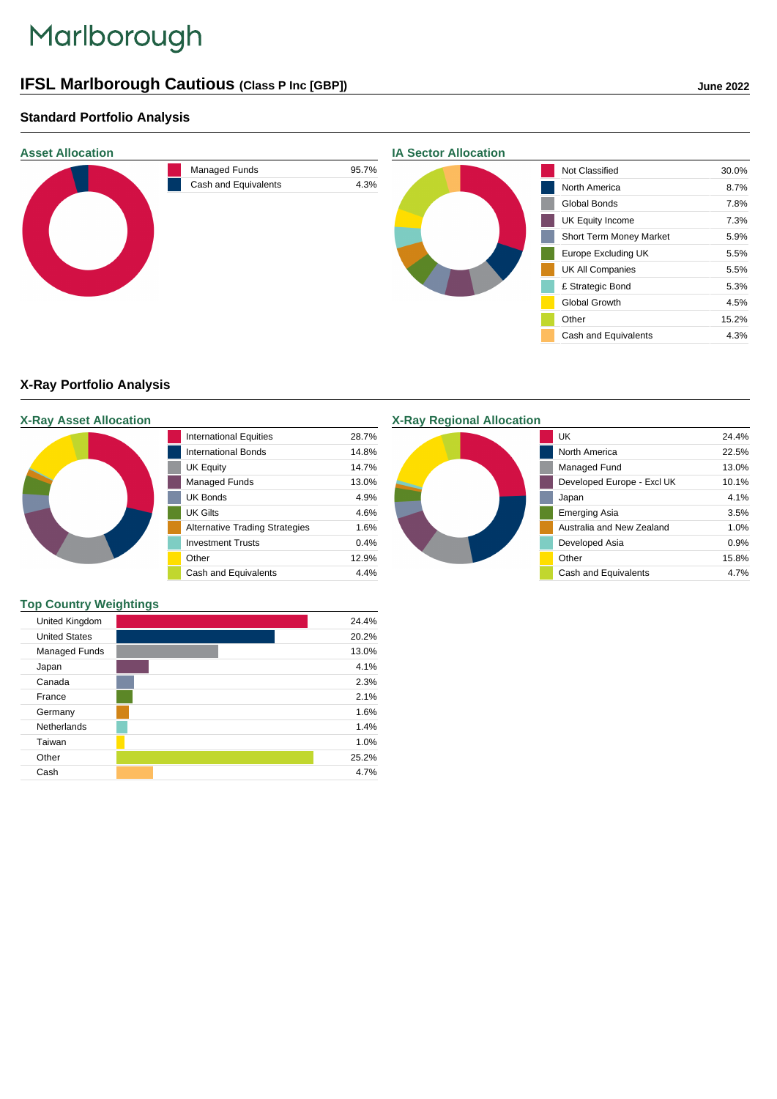# Marlborough

## **IFSL Marlborough Cautious (Class P Inc [GBP]) June 2022**

### **Standard Portfolio Analysis**



#### **X-Ray Portfolio Analysis**

|  | <b>X-Ray Asset Allocation</b> |
|--|-------------------------------|
|  |                               |

| <b>International Equities</b>         | 28.7% |
|---------------------------------------|-------|
| International Bonds                   | 14.8% |
| <b>UK Equity</b>                      | 14 7% |
| <b>Managed Funds</b>                  | 13.0% |
| <b>UK Bonds</b>                       | 4.9%  |
| UK Gilts                              | 4.6%  |
| <b>Alternative Trading Strategies</b> | 1.6%  |
| <b>Investment Trusts</b>              | 0.4%  |
| Other                                 | 12.9% |
| Cash and Equivalents                  | 44%   |

## **X-Ray Regional Allocation**



#### **Top Country Weightings**

| United Kingdom       | 24.4% |
|----------------------|-------|
| <b>United States</b> | 20.2% |
| Managed Funds        | 13.0% |
| Japan                | 4.1%  |
| Canada               | 2.3%  |
| France               | 2.1%  |
| Germany              | 1.6%  |
| Netherlands          | 1.4%  |
| Taiwan               | 1.0%  |
| Other                | 25.2% |
| Cash                 | 4.7%  |